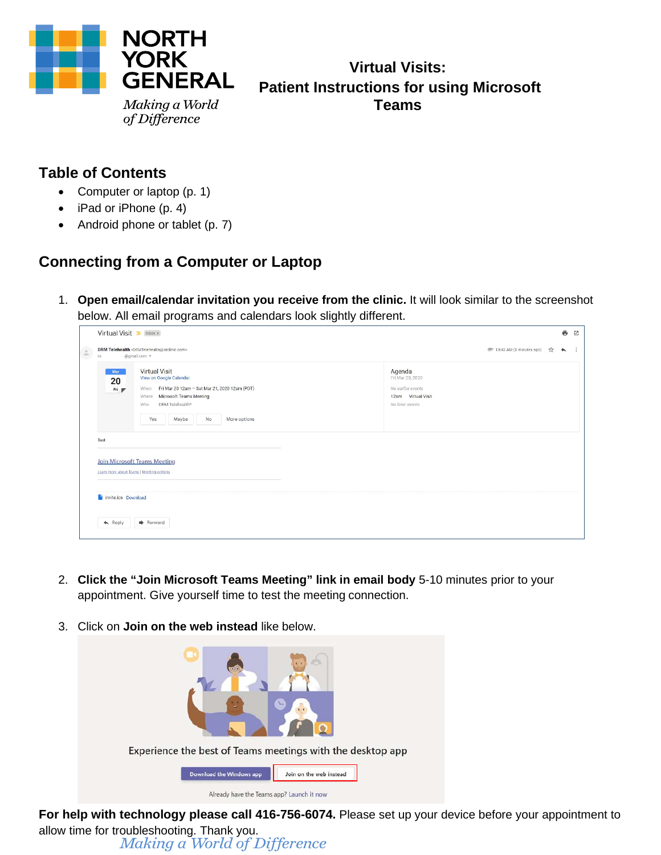

# **Virtual Visits: Patient Instructions for using Microsoft Teams**

### **Table of Contents**

- Computer or laptop (p. 1)
- iPad or iPhone (p. 4)
- Android phone or tablet (p. 7)

## **Connecting from a Computer or Laptop**

1. **Open email/calendar invitation you receive from the clinic.** It will look similar to the screenshot below. All email programs and calendars look slightly different.

|                                                   | Virtual Visit Minbox x                                                                                                                                                                             |                                                                                          |                                         |               | ē                        | 囜         |
|---------------------------------------------------|----------------------------------------------------------------------------------------------------------------------------------------------------------------------------------------------------|------------------------------------------------------------------------------------------|-----------------------------------------|---------------|--------------------------|-----------|
| $\mathbb{L}$<br>to                                | DRM Telehealth <drmtelehealth@orclinic.com><br/>@gmail.com -</drmtelehealth@orclinic.com>                                                                                                          |                                                                                          | <sup>(2)</sup> 10:42 AM (0 minutes ago) | $\frac{1}{2}$ | $\overline{\phantom{0}}$ | $\cdot$ : |
| Mar<br>20<br>Fri pr                               | Virtual Visit<br>View on Google Calendar<br>When Fri Mar 20 12am - Sat Mar 21, 2020 12am (PDT)<br>Microsoft Teams Meeting<br>Where<br>DRM Telehealth*<br>Who<br>Yes<br>Maybe<br>No<br>More options | Agenda<br>Fri Mar 20, 2020<br>No earlier events<br>12am Virtual Visit<br>No later events |                                         |               |                          |           |
| Test<br>invite.ics Download<br>$\leftarrow$ Reply | <b>Join Microsoft Teams Meeting</b><br>Learn more about Teams   Meeting options<br>Forward                                                                                                         |                                                                                          |                                         |               |                          |           |
|                                                   |                                                                                                                                                                                                    |                                                                                          |                                         |               |                          |           |

- 2. **Click the "Join Microsoft Teams Meeting" link in email body** 5-10 minutes prior to your appointment. Give yourself time to test the meeting connection.
- 3. Click on **Join on the web instead** like below.



**For help with technology please call 416-756-6074.** Please set up your device before your appointment to allow time for troubleshooting. Thank you.<br>Making a World of Difference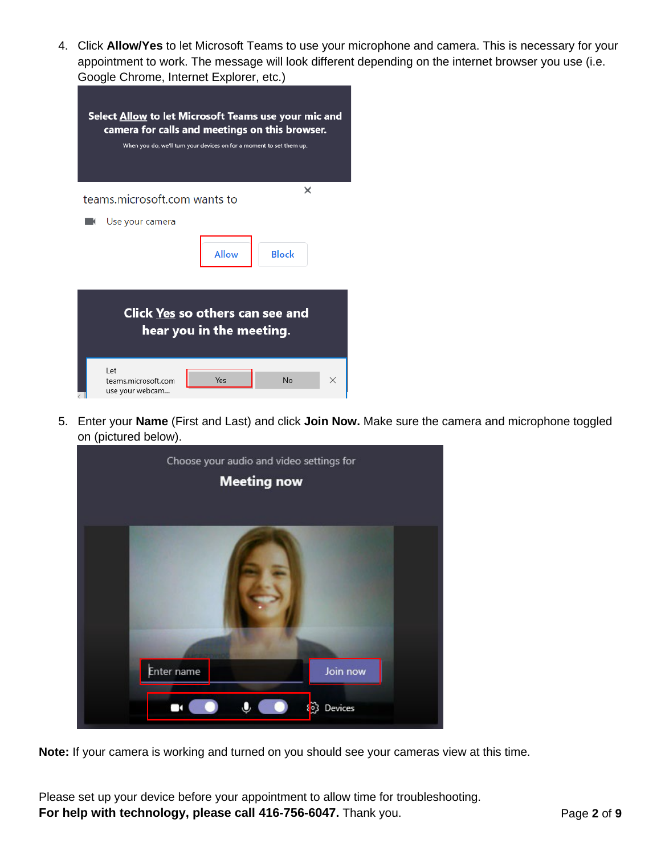4. Click **Allow/Yes** to let Microsoft Teams to use your microphone and camera. This is necessary for your appointment to work. The message will look different depending on the internet browser you use (i.e. Google Chrome, Internet Explorer, etc.)

| Select Allow to let Microsoft Teams use your mic and<br>camera for calls and meetings on this browser.<br>When you do, we'll turn your devices on for a moment to set them up. |  |  |  |  |
|--------------------------------------------------------------------------------------------------------------------------------------------------------------------------------|--|--|--|--|
| ×<br>teams.microsoft.com wants to                                                                                                                                              |  |  |  |  |
| Use your camera                                                                                                                                                                |  |  |  |  |
| <b>Allow</b><br><b>Block</b>                                                                                                                                                   |  |  |  |  |
| Click Yes so others can see and<br>hear you in the meeting.                                                                                                                    |  |  |  |  |
| I et<br>No<br>Yes<br>teams.microsoft.com<br>×<br>use your webcam                                                                                                               |  |  |  |  |

5. Enter your **Name** (First and Last) and click **Join Now.** Make sure the camera and microphone toggled on (pictured below).



**Note:** If your camera is working and turned on you should see your cameras view at this time.

Please set up your device before your appointment to allow time for troubleshooting. **For help with technology, please call 416-756-6047.** Thank you. Page 2 of 9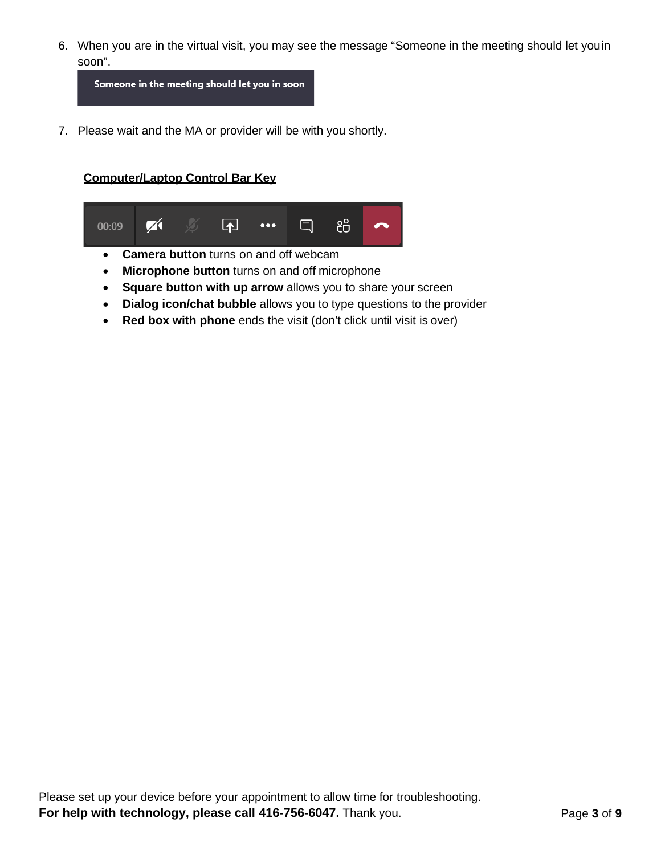6. When you are in the virtual visit, you may see the message "Someone in the meeting should let youin soon".

Someone in the meeting should let you in soon

7. Please wait and the MA or provider will be with you shortly.

#### **Computer/Laptop Control Bar Key**



- **Microphone button** turns on and off microphone
- **Square button with up arrow** allows you to share your screen
- **Dialog icon/chat bubble** allows you to type questions to the provider
- **Red box with phone** ends the visit (don't click until visit is over)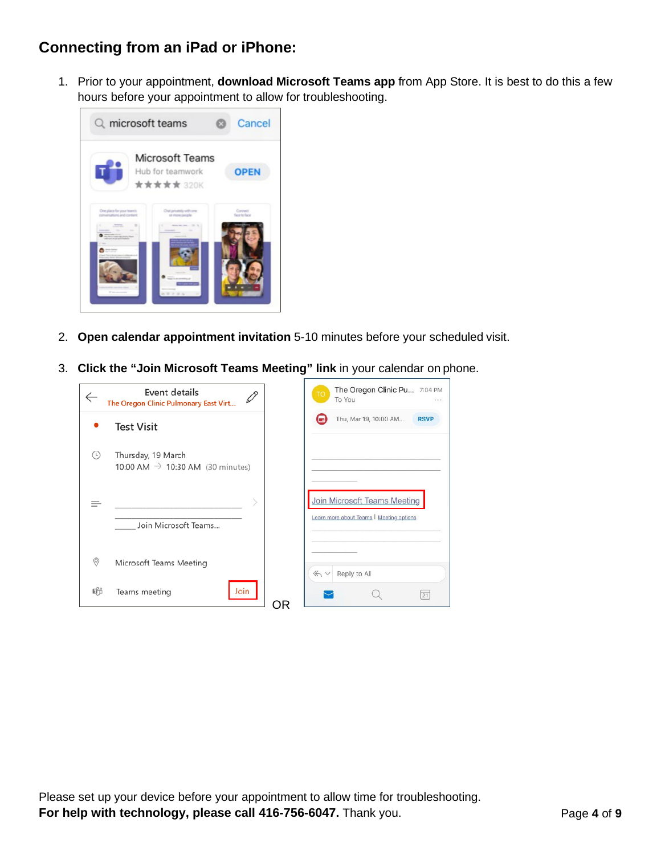### **Connecting from an iPad or iPhone:**

1. Prior to your appointment, **download Microsoft Teams app** from App Store. It is best to do this a few hours before your appointment to allow for troubleshooting.



- 2. **Open calendar appointment invitation** 5-10 minutes before your scheduled visit.
- 3. **Click the "Join Microsoft Teams Meeting" link** in your calendar on phone.

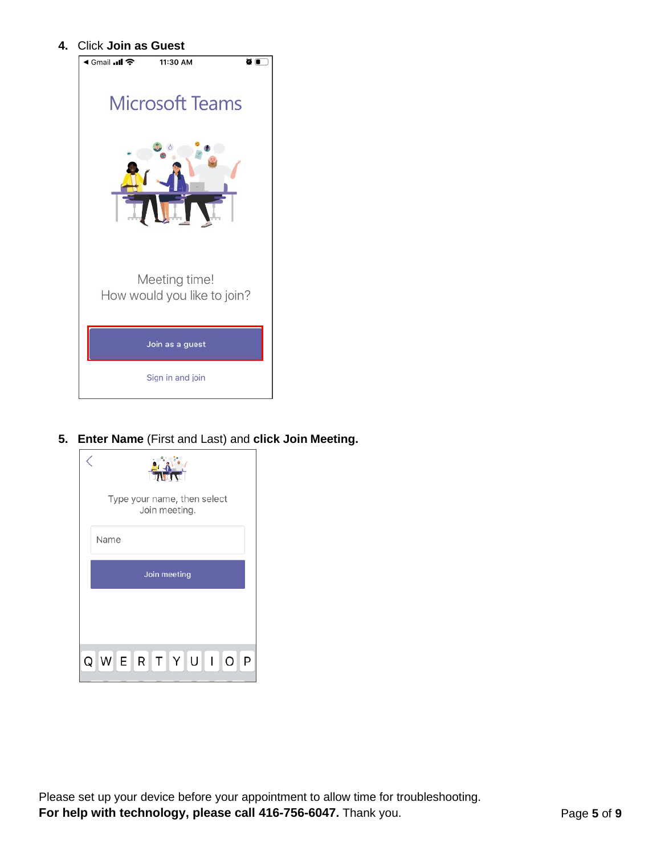**4.** Click **Join as Guest**



**5. Enter Name** (First and Last) and **click Join Meeting.**

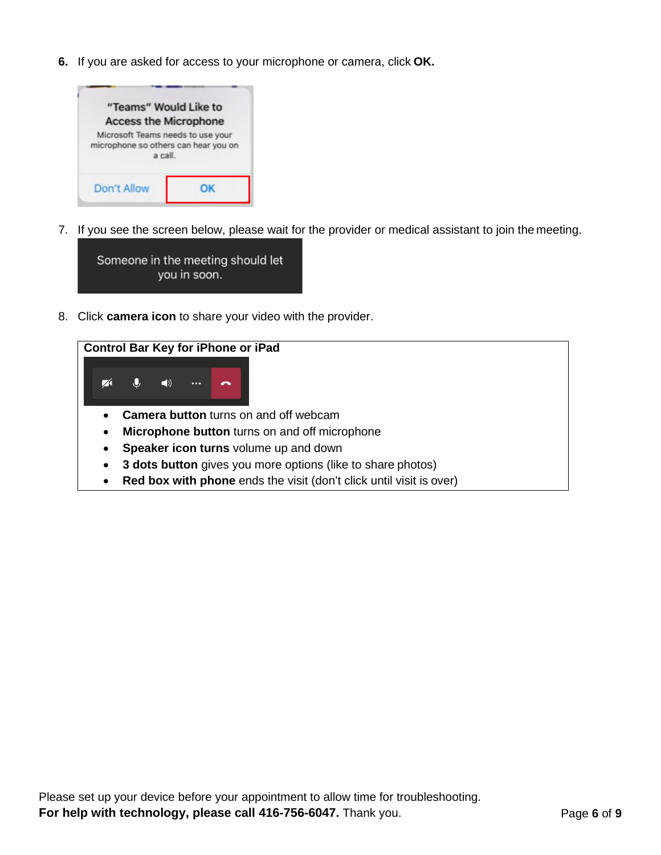**6.** If you are asked for access to your microphone or camera, click **OK.**



7. If you see the screen below, please wait for the provider or medical assistant to join the meeting.



8. Click **camera icon** to share your video with the provider.

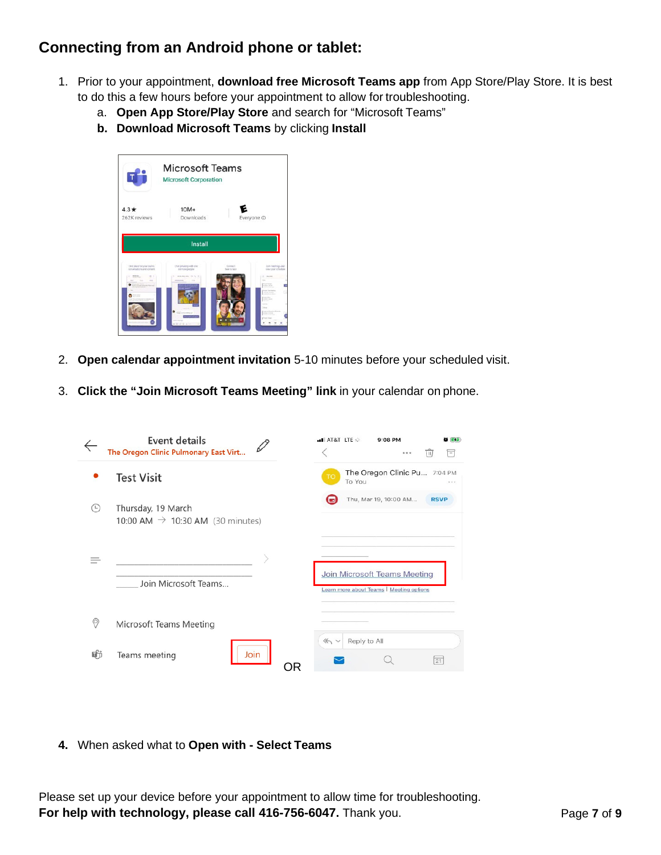### **Connecting from an Android phone or tablet:**

- 1. Prior to your appointment, **download free Microsoft Teams app** from App Store/Play Store. It is best to do this a few hours before your appointment to allow for troubleshooting.
	- a. **Open App Store/Play Store** and search for "Microsoft Teams"
	- **b. Download Microsoft Teams** by clicking **Install**



- 2. **Open calendar appointment invitation** 5-10 minutes before your scheduled visit.
- 3. **Click the "Join Microsoft Teams Meeting" link** in your calendar on phone.

|            | Event details<br>The Oregon Clinic Pulmonary East Virt             | all AT&T ITE size | $9:08$ PM<br><b>AF</b><br>Ħ<br>$\overline{111}$<br>0.0.0                        |
|------------|--------------------------------------------------------------------|-------------------|---------------------------------------------------------------------------------|
|            | <b>Test Visit</b>                                                  | <b>TO</b>         | The Oregon Clinic Pu 7:04 PM<br>To You                                          |
| $(\vdash)$ | Thursday, 19 March<br>10:00 AM $\rightarrow$ 10:30 AM (30 minutes) |                   | Thu, Mar 19, 10:00 AM<br><b>RSVP</b>                                            |
|            | Join Microsoft Teams                                               |                   | <b>Join Microsoft Teams Meeting</b><br>Learn more about Teams   Meeting options |
| 0          | Microsoft Teams Meeting                                            |                   |                                                                                 |
| ۵ĥ         | Join<br>Teams meeting                                              | 4<br>ОR           | Reply to All<br>21                                                              |

**4.** When asked what to **Open with - Select Teams**

Please set up your device before your appointment to allow time for troubleshooting. **For help with technology, please call 416-756-6047.** Thank you. Page 7 of 9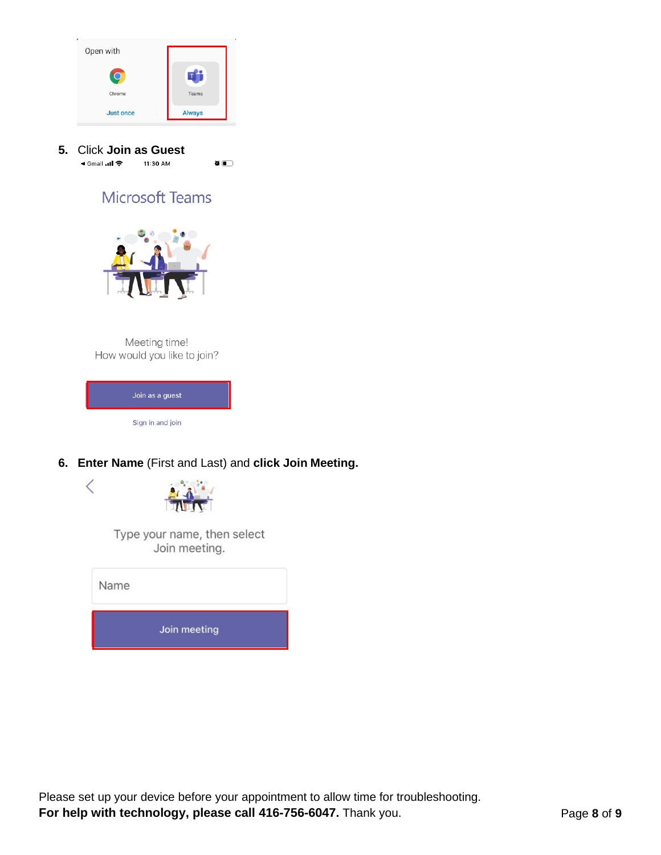





Type your name, then select Join meeting.

| Name |              |  |
|------|--------------|--|
|      | Join meeting |  |